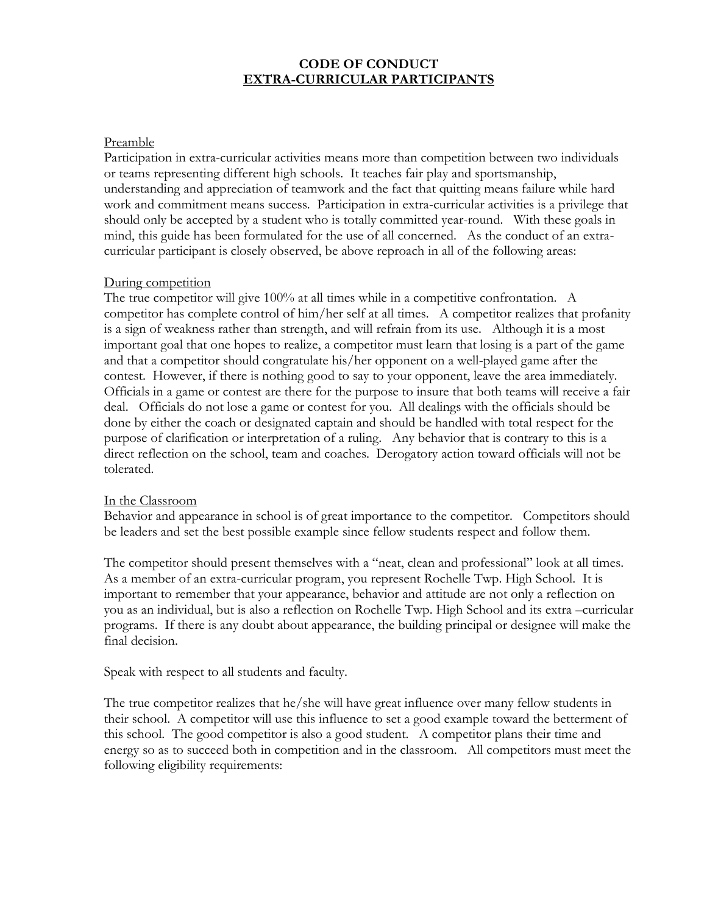## **CODE OF CONDUCT EXTRA-CURRICULAR PARTICIPANTS**

#### Preamble

Participation in extra-curricular activities means more than competition between two individuals or teams representing different high schools. It teaches fair play and sportsmanship, understanding and appreciation of teamwork and the fact that quitting means failure while hard work and commitment means success. Participation in extra-curricular activities is a privilege that should only be accepted by a student who is totally committed year-round. With these goals in mind, this guide has been formulated for the use of all concerned. As the conduct of an extracurricular participant is closely observed, be above reproach in all of the following areas:

### During competition

The true competitor will give 100% at all times while in a competitive confrontation. A competitor has complete control of him/her self at all times. A competitor realizes that profanity is a sign of weakness rather than strength, and will refrain from its use. Although it is a most important goal that one hopes to realize, a competitor must learn that losing is a part of the game and that a competitor should congratulate his/her opponent on a well-played game after the contest. However, if there is nothing good to say to your opponent, leave the area immediately. Officials in a game or contest are there for the purpose to insure that both teams will receive a fair deal. Officials do not lose a game or contest for you. All dealings with the officials should be done by either the coach or designated captain and should be handled with total respect for the purpose of clarification or interpretation of a ruling. Any behavior that is contrary to this is a direct reflection on the school, team and coaches. Derogatory action toward officials will not be tolerated.

#### In the Classroom

Behavior and appearance in school is of great importance to the competitor. Competitors should be leaders and set the best possible example since fellow students respect and follow them.

The competitor should present themselves with a "neat, clean and professional" look at all times. As a member of an extra-curricular program, you represent Rochelle Twp. High School. It is important to remember that your appearance, behavior and attitude are not only a reflection on you as an individual, but is also a reflection on Rochelle Twp. High School and its extra –curricular programs. If there is any doubt about appearance, the building principal or designee will make the final decision.

Speak with respect to all students and faculty.

The true competitor realizes that he/she will have great influence over many fellow students in their school. A competitor will use this influence to set a good example toward the betterment of this school. The good competitor is also a good student. A competitor plans their time and energy so as to succeed both in competition and in the classroom. All competitors must meet the following eligibility requirements: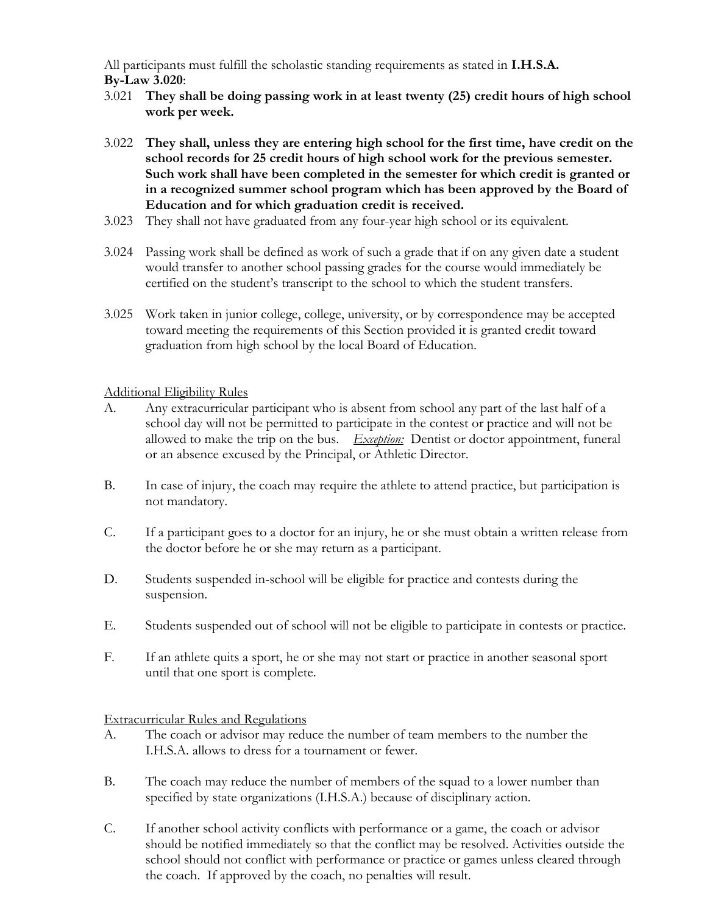All participants must fulfill the scholastic standing requirements as stated in **I.H.S.A. By-Law 3.020**:

- 3.021 **They shall be doing passing work in at least twenty (25) credit hours of high school work per week.**
- 3.022 **They shall, unless they are entering high school for the first time, have credit on the school records for 25 credit hours of high school work for the previous semester. Such work shall have been completed in the semester for which credit is granted or in a recognized summer school program which has been approved by the Board of Education and for which graduation credit is received.**
- 3.023 They shall not have graduated from any four-year high school or its equivalent.
- 3.024 Passing work shall be defined as work of such a grade that if on any given date a student would transfer to another school passing grades for the course would immediately be certified on the student's transcript to the school to which the student transfers.
- 3.025 Work taken in junior college, college, university, or by correspondence may be accepted toward meeting the requirements of this Section provided it is granted credit toward graduation from high school by the local Board of Education.

Additional Eligibility Rules

- A. Any extracurricular participant who is absent from school any part of the last half of a school day will not be permitted to participate in the contest or practice and will not be allowed to make the trip on the bus. *Exception:* Dentist or doctor appointment, funeral or an absence excused by the Principal, or Athletic Director.
- B. In case of injury, the coach may require the athlete to attend practice, but participation is not mandatory.
- C. If a participant goes to a doctor for an injury, he or she must obtain a written release from the doctor before he or she may return as a participant.
- D. Students suspended in-school will be eligible for practice and contests during the suspension.
- E. Students suspended out of school will not be eligible to participate in contests or practice.
- F. If an athlete quits a sport, he or she may not start or practice in another seasonal sport until that one sport is complete.

Extracurricular Rules and Regulations

- A. The coach or advisor may reduce the number of team members to the number the I.H.S.A. allows to dress for a tournament or fewer.
- B. The coach may reduce the number of members of the squad to a lower number than specified by state organizations (I.H.S.A.) because of disciplinary action.
- C. If another school activity conflicts with performance or a game, the coach or advisor should be notified immediately so that the conflict may be resolved. Activities outside the school should not conflict with performance or practice or games unless cleared through the coach. If approved by the coach, no penalties will result.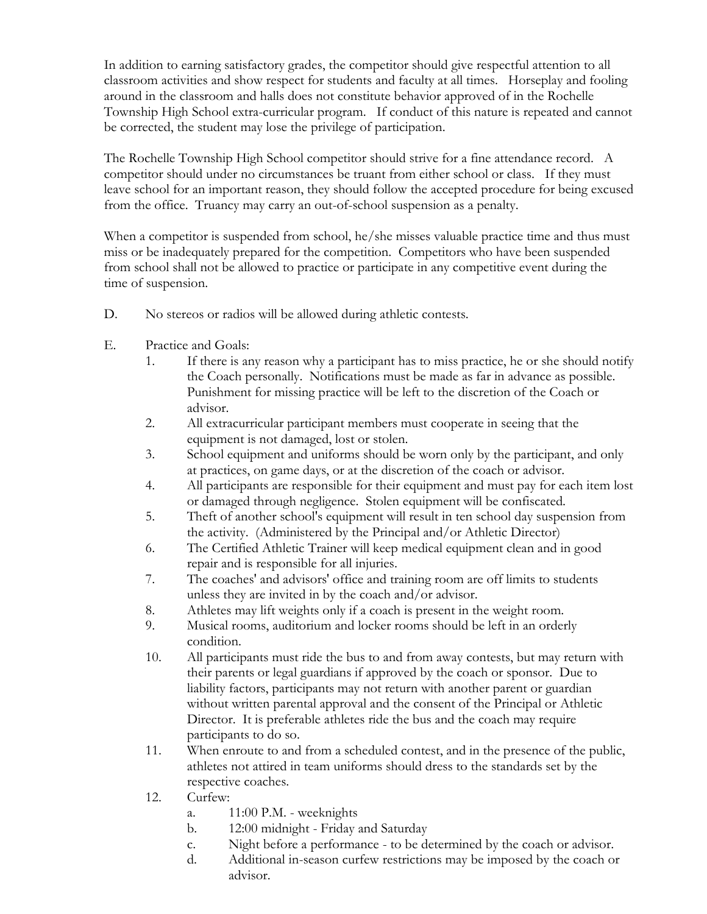In addition to earning satisfactory grades, the competitor should give respectful attention to all classroom activities and show respect for students and faculty at all times. Horseplay and fooling around in the classroom and halls does not constitute behavior approved of in the Rochelle Township High School extra-curricular program. If conduct of this nature is repeated and cannot be corrected, the student may lose the privilege of participation.

The Rochelle Township High School competitor should strive for a fine attendance record. A competitor should under no circumstances be truant from either school or class. If they must leave school for an important reason, they should follow the accepted procedure for being excused from the office. Truancy may carry an out-of-school suspension as a penalty.

When a competitor is suspended from school, he/she misses valuable practice time and thus must miss or be inadequately prepared for the competition. Competitors who have been suspended from school shall not be allowed to practice or participate in any competitive event during the time of suspension.

- D. No stereos or radios will be allowed during athletic contests.
- E. Practice and Goals:
	- 1. If there is any reason why a participant has to miss practice, he or she should notify the Coach personally. Notifications must be made as far in advance as possible. Punishment for missing practice will be left to the discretion of the Coach or advisor.
	- 2. All extracurricular participant members must cooperate in seeing that the equipment is not damaged, lost or stolen.
	- 3. School equipment and uniforms should be worn only by the participant, and only at practices, on game days, or at the discretion of the coach or advisor.
	- 4. All participants are responsible for their equipment and must pay for each item lost or damaged through negligence. Stolen equipment will be confiscated.
	- 5. Theft of another school's equipment will result in ten school day suspension from the activity. (Administered by the Principal and/or Athletic Director)
	- 6. The Certified Athletic Trainer will keep medical equipment clean and in good repair and is responsible for all injuries.
	- 7. The coaches' and advisors' office and training room are off limits to students unless they are invited in by the coach and/or advisor.
	- 8. Athletes may lift weights only if a coach is present in the weight room.
	- 9. Musical rooms, auditorium and locker rooms should be left in an orderly condition.
	- 10. All participants must ride the bus to and from away contests, but may return with their parents or legal guardians if approved by the coach or sponsor. Due to liability factors, participants may not return with another parent or guardian without written parental approval and the consent of the Principal or Athletic Director. It is preferable athletes ride the bus and the coach may require participants to do so.
	- 11. When enroute to and from a scheduled contest, and in the presence of the public, athletes not attired in team uniforms should dress to the standards set by the respective coaches.
	- 12. Curfew:
		- a. 11:00 P.M. weeknights
		- b. 12:00 midnight Friday and Saturday
		- c. Night before a performance to be determined by the coach or advisor.
		- d. Additional in-season curfew restrictions may be imposed by the coach or advisor.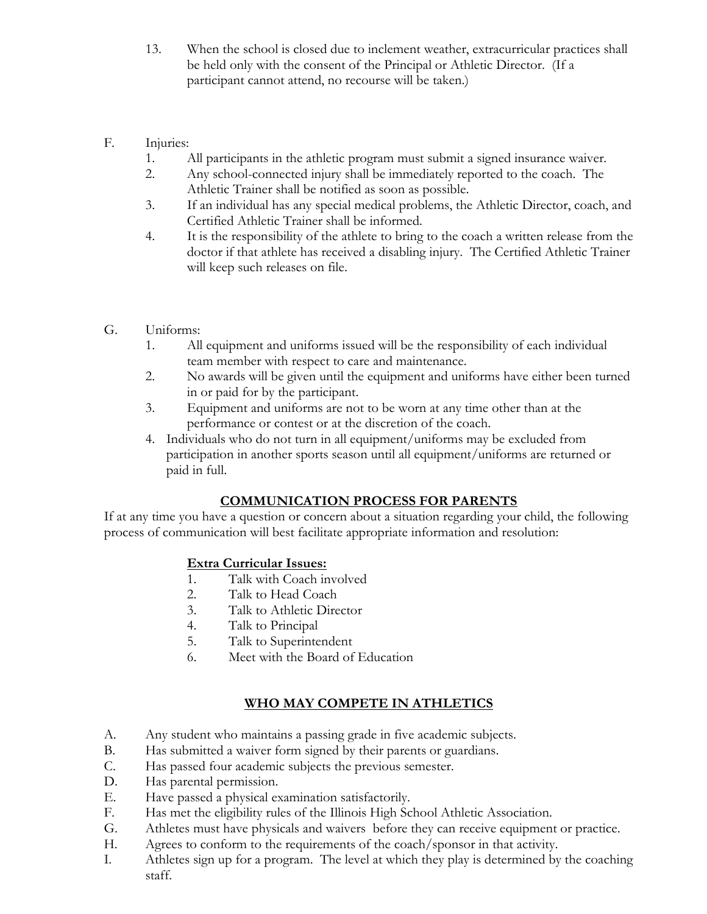- 13. When the school is closed due to inclement weather, extracurricular practices shall be held only with the consent of the Principal or Athletic Director. (If a participant cannot attend, no recourse will be taken.)
- F. Injuries:
	- 1. All participants in the athletic program must submit a signed insurance waiver.
	- 2. Any school-connected injury shall be immediately reported to the coach. The Athletic Trainer shall be notified as soon as possible.
	- 3. If an individual has any special medical problems, the Athletic Director, coach, and Certified Athletic Trainer shall be informed.
	- 4. It is the responsibility of the athlete to bring to the coach a written release from the doctor if that athlete has received a disabling injury. The Certified Athletic Trainer will keep such releases on file.
- G. Uniforms:
	- 1. All equipment and uniforms issued will be the responsibility of each individual team member with respect to care and maintenance.
	- 2. No awards will be given until the equipment and uniforms have either been turned in or paid for by the participant.
	- 3. Equipment and uniforms are not to be worn at any time other than at the performance or contest or at the discretion of the coach.
	- 4. Individuals who do not turn in all equipment/uniforms may be excluded from participation in another sports season until all equipment/uniforms are returned or paid in full.

# **COMMUNICATION PROCESS FOR PARENTS**

If at any time you have a question or concern about a situation regarding your child, the following process of communication will best facilitate appropriate information and resolution:

# **Extra Curricular Issues:**

- 1. Talk with Coach involved
- 2. Talk to Head Coach
- 3. Talk to Athletic Director
- 4. Talk to Principal
- 5. Talk to Superintendent
- 6. Meet with the Board of Education

# **WHO MAY COMPETE IN ATHLETICS**

- A. Any student who maintains a passing grade in five academic subjects.
- B. Has submitted a waiver form signed by their parents or guardians.
- C. Has passed four academic subjects the previous semester.
- D. Has parental permission.
- E. Have passed a physical examination satisfactorily.
- F. Has met the eligibility rules of the Illinois High School Athletic Association.
- G. Athletes must have physicals and waivers before they can receive equipment or practice.
- H. Agrees to conform to the requirements of the coach/sponsor in that activity.
- I. Athletes sign up for a program. The level at which they play is determined by the coaching staff.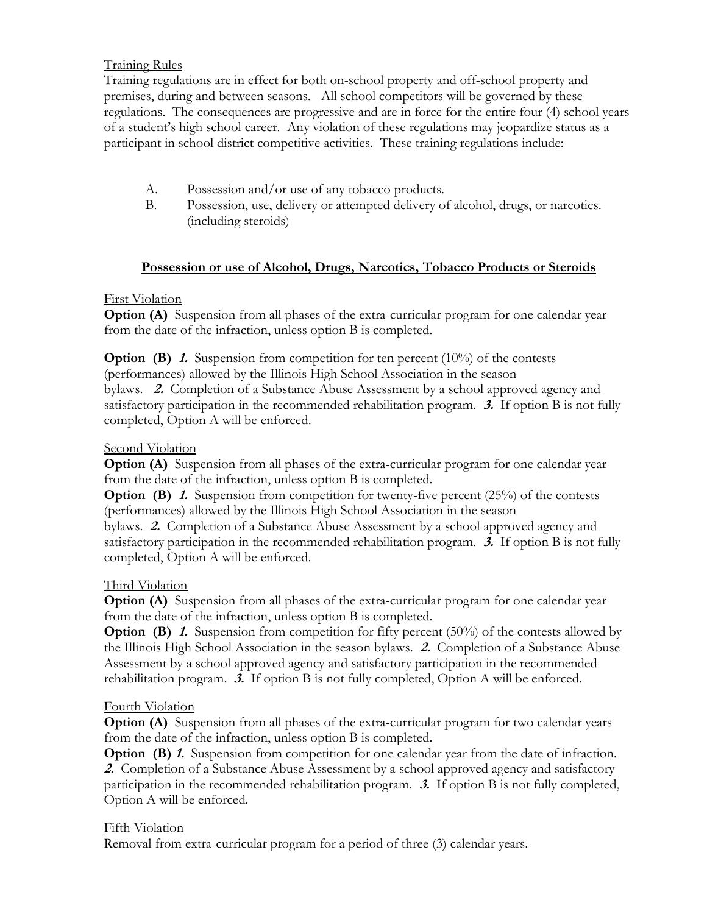## Training Rules

Training regulations are in effect for both on-school property and off-school property and premises, during and between seasons. All school competitors will be governed by these regulations. The consequences are progressive and are in force for the entire four (4) school years of a student's high school career. Any violation of these regulations may jeopardize status as a participant in school district competitive activities. These training regulations include:

- A. Possession and/or use of any tobacco products.
- B. Possession, use, delivery or attempted delivery of alcohol, drugs, or narcotics. (including steroids)

### **Possession or use of Alcohol, Drugs, Narcotics, Tobacco Products or Steroids**

## First Violation

**Option (A)** Suspension from all phases of the extra-curricular program for one calendar year from the date of the infraction, unless option B is completed.

**Option (B) 1.** Suspension from competition for ten percent (10%) of the contests (performances) allowed by the Illinois High School Association in the season bylaws. **2.** Completion of a Substance Abuse Assessment by a school approved agency and satisfactory participation in the recommended rehabilitation program. **3.** If option B is not fully completed, Option A will be enforced.

## Second Violation

**Option (A)** Suspension from all phases of the extra-curricular program for one calendar year from the date of the infraction, unless option B is completed.

**Option (B) 1.** Suspension from competition for twenty-five percent (25%) of the contests (performances) allowed by the Illinois High School Association in the season

bylaws. **2.** Completion of a Substance Abuse Assessment by a school approved agency and satisfactory participation in the recommended rehabilitation program. **3.** If option B is not fully completed, Option A will be enforced.

### Third Violation

**Option (A)** Suspension from all phases of the extra-curricular program for one calendar year from the date of the infraction, unless option B is completed.

**Option (B) 1.** Suspension from competition for fifty percent (50%) of the contests allowed by the Illinois High School Association in the season bylaws. **2.** Completion of a Substance Abuse Assessment by a school approved agency and satisfactory participation in the recommended rehabilitation program. **3.** If option B is not fully completed, Option A will be enforced.

# Fourth Violation

**Option (A)** Suspension from all phases of the extra-curricular program for two calendar years from the date of the infraction, unless option B is completed.

**Option (B) 1.** Suspension from competition for one calendar year from the date of infraction. **2.** Completion of a Substance Abuse Assessment by a school approved agency and satisfactory participation in the recommended rehabilitation program. **3.** If option B is not fully completed, Option A will be enforced.

### Fifth Violation

Removal from extra-curricular program for a period of three (3) calendar years.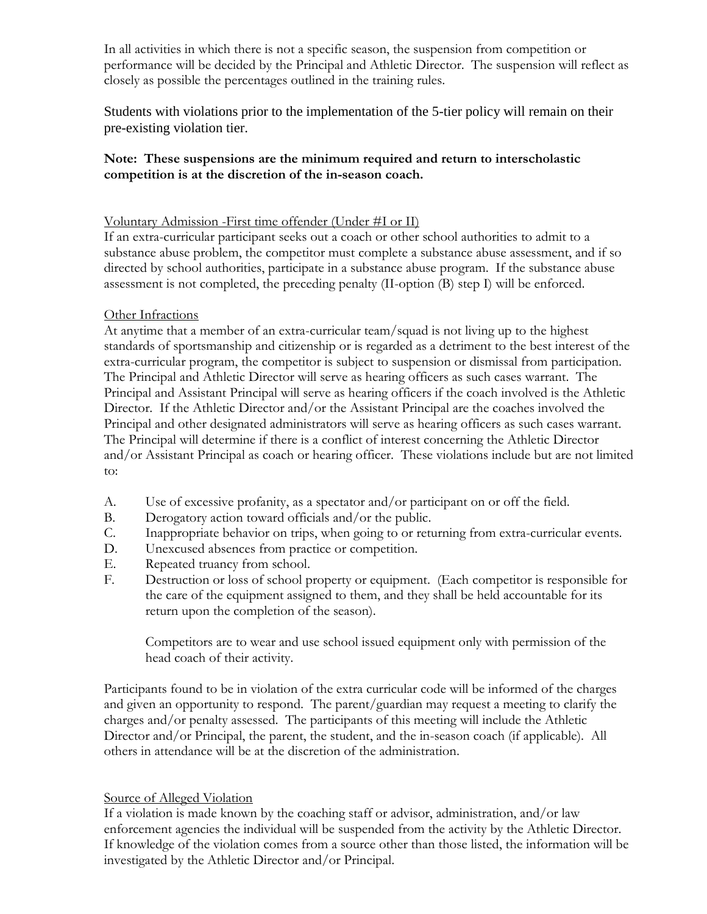In all activities in which there is not a specific season, the suspension from competition or performance will be decided by the Principal and Athletic Director. The suspension will reflect as closely as possible the percentages outlined in the training rules.

Students with violations prior to the implementation of the 5-tier policy will remain on their pre-existing violation tier.

## **Note: These suspensions are the minimum required and return to interscholastic competition is at the discretion of the in-season coach.**

## Voluntary Admission -First time offender (Under #I or II)

If an extra-curricular participant seeks out a coach or other school authorities to admit to a substance abuse problem, the competitor must complete a substance abuse assessment, and if so directed by school authorities, participate in a substance abuse program. If the substance abuse assessment is not completed, the preceding penalty (II-option (B) step I) will be enforced.

### Other Infractions

At anytime that a member of an extra-curricular team/squad is not living up to the highest standards of sportsmanship and citizenship or is regarded as a detriment to the best interest of the extra-curricular program, the competitor is subject to suspension or dismissal from participation. The Principal and Athletic Director will serve as hearing officers as such cases warrant. The Principal and Assistant Principal will serve as hearing officers if the coach involved is the Athletic Director. If the Athletic Director and/or the Assistant Principal are the coaches involved the Principal and other designated administrators will serve as hearing officers as such cases warrant. The Principal will determine if there is a conflict of interest concerning the Athletic Director and/or Assistant Principal as coach or hearing officer. These violations include but are not limited to:

- A. Use of excessive profanity, as a spectator and/or participant on or off the field.
- B. Derogatory action toward officials and/or the public.
- C. Inappropriate behavior on trips, when going to or returning from extra-curricular events.
- D. Unexcused absences from practice or competition.
- E. Repeated truancy from school.
- F. Destruction or loss of school property or equipment. (Each competitor is responsible for the care of the equipment assigned to them, and they shall be held accountable for its return upon the completion of the season).

Competitors are to wear and use school issued equipment only with permission of the head coach of their activity.

Participants found to be in violation of the extra curricular code will be informed of the charges and given an opportunity to respond. The parent/guardian may request a meeting to clarify the charges and/or penalty assessed. The participants of this meeting will include the Athletic Director and/or Principal, the parent, the student, and the in-season coach (if applicable). All others in attendance will be at the discretion of the administration.

### Source of Alleged Violation

If a violation is made known by the coaching staff or advisor, administration, and/or law enforcement agencies the individual will be suspended from the activity by the Athletic Director. If knowledge of the violation comes from a source other than those listed, the information will be investigated by the Athletic Director and/or Principal.